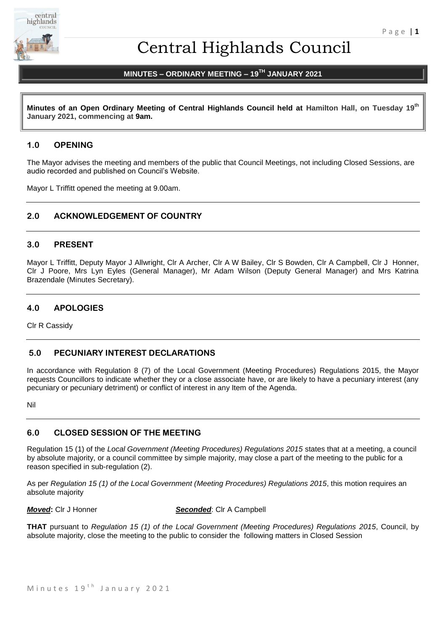

# Central Highlands Council

# **MINUTES – ORDINARY MEETING – 19 TH JANUARY 2021**

**Minutes of an Open Ordinary Meeting of Central Highlands Council held at Hamilton Hall, on Tuesday 19 th January 2021, commencing at 9am.**

# **1.0 OPENING**

The Mayor advises the meeting and members of the public that Council Meetings, not including Closed Sessions, are audio recorded and published on Council's Website.

Mayor L Triffitt opened the meeting at 9.00am.

# **2.0 ACKNOWLEDGEMENT OF COUNTRY**

# **3.0 PRESENT**

Mayor L Triffitt, Deputy Mayor J Allwright, Clr A Archer, Clr A W Bailey, Clr S Bowden, Clr A Campbell, Clr J Honner, Clr J Poore, Mrs Lyn Eyles (General Manager), Mr Adam Wilson (Deputy General Manager) and Mrs Katrina Brazendale (Minutes Secretary).

# **4.0 APOLOGIES**

Clr R Cassidy

# **5.0 PECUNIARY INTEREST DECLARATIONS**

In accordance with Regulation 8 (7) of the Local Government (Meeting Procedures) Regulations 2015, the Mayor requests Councillors to indicate whether they or a close associate have, or are likely to have a pecuniary interest (any pecuniary or pecuniary detriment) or conflict of interest in any Item of the Agenda.

Nil

# **6.0 CLOSED SESSION OF THE MEETING**

Regulation 15 (1) of the *Local Government (Meeting Procedures) Regulations 2015* states that at a meeting, a council by absolute majority, or a council committee by simple majority, may close a part of the meeting to the public for a reason specified in sub-regulation (2).

As per *Regulation 15 (1) of the Local Government (Meeting Procedures) Regulations 2015*, this motion requires an absolute majority

*Moved***:** Clr J Honner *Seconded*: Clr A Campbell

**THAT** pursuant to *Regulation 15 (1) of the Local Government (Meeting Procedures) Regulations 2015*, Council, by absolute majority, close the meeting to the public to consider the following matters in Closed Session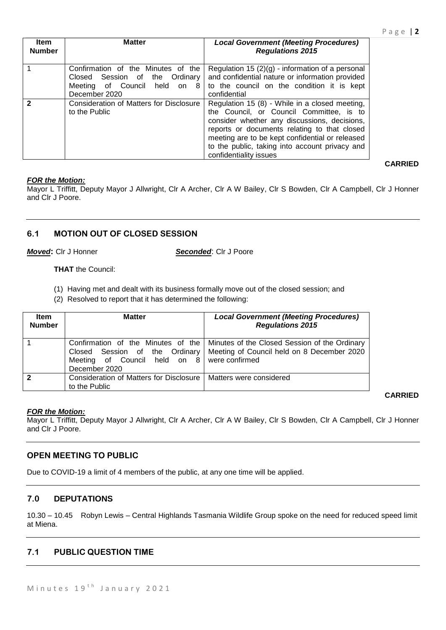| <b>Item</b><br><b>Number</b> | <b>Matter</b>                                                                                                                  | <b>Local Government (Meeting Procedures)</b><br><b>Regulations 2015</b>                                                                                                                                                                                                                                                   |
|------------------------------|--------------------------------------------------------------------------------------------------------------------------------|---------------------------------------------------------------------------------------------------------------------------------------------------------------------------------------------------------------------------------------------------------------------------------------------------------------------------|
|                              | Confirmation of the Minutes of the<br>Session of the Ordinary<br>Closed<br>Meeting of Council<br>held<br>on 8<br>December 2020 | Regulation 15 $(2)(g)$ - information of a personal<br>and confidential nature or information provided<br>to the council on the condition it is kept<br>confidential                                                                                                                                                       |
| 2                            | Consideration of Matters for Disclosure<br>to the Public                                                                       | Regulation 15 (8) - While in a closed meeting,<br>the Council, or Council Committee, is to<br>consider whether any discussions, decisions,<br>reports or documents relating to that closed<br>meeting are to be kept confidential or released<br>to the public, taking into account privacy and<br>confidentiality issues |

# *FOR the Motion:*

Mayor L Triffitt, Deputy Mayor J Allwright, Clr A Archer, Clr A W Bailey, Clr S Bowden, Clr A Campbell, Clr J Honner and Clr J Poore.

# **6.1 MOTION OUT OF CLOSED SESSION**

*Moved***:** Clr J Honner *Seconded*: Clr J Poore

**THAT** the Council:

- (1) Having met and dealt with its business formally move out of the closed session; and
- (2) Resolved to report that it has determined the following:

| <b>Item</b><br><b>Number</b> | <b>Matter</b>                                                                                                                        | <b>Local Government (Meeting Procedures)</b><br><b>Regulations 2015</b>                     |
|------------------------------|--------------------------------------------------------------------------------------------------------------------------------------|---------------------------------------------------------------------------------------------|
|                              | Confirmation of the Minutes of the<br>Closed Session of the Ordinary<br>Meeting of Council held on 8 were confirmed<br>December 2020 | Minutes of the Closed Session of the Ordinary<br>Meeting of Council held on 8 December 2020 |
| $\mathbf{2}$                 | Consideration of Matters for Disclosure<br>to the Public                                                                             | Matters were considered                                                                     |

# **CARRIED**

# *FOR the Motion:*

Mayor L Triffitt, Deputy Mayor J Allwright, Clr A Archer, Clr A W Bailey, Clr S Bowden, Clr A Campbell, Clr J Honner and Clr J Poore.

# **OPEN MEETING TO PUBLIC**

Due to COVID-19 a limit of 4 members of the public, at any one time will be applied.

# **7.0 DEPUTATIONS**

10.30 – 10.45 Robyn Lewis – Central Highlands Tasmania Wildlife Group spoke on the need for reduced speed limit at Miena.

# **7.1 PUBLIC QUESTION TIME**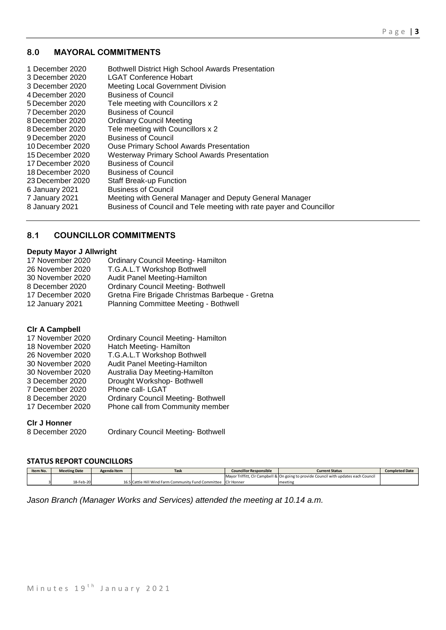# **8.0 MAYORAL COMMITMENTS**

| 1 December 2020<br>3 December 2020<br>3 December 2020<br>4 December 2020<br>5 December 2020<br>7 December 2020<br>8 December 2020<br>8 December 2020<br>9 December 2020<br>10 December 2020<br>15 December 2020<br>17 December 2020<br>18 December 2020<br>23 December 2020 | <b>Bothwell District High School Awards Presentation</b><br><b>LGAT Conference Hobart</b><br><b>Meeting Local Government Division</b><br><b>Business of Council</b><br>Tele meeting with Councillors x 2<br><b>Business of Council</b><br><b>Ordinary Council Meeting</b><br>Tele meeting with Councillors x 2<br><b>Business of Council</b><br><b>Ouse Primary School Awards Presentation</b><br><b>Westerway Primary School Awards Presentation</b><br><b>Business of Council</b><br><b>Business of Council</b><br><b>Staff Break-up Function</b> |
|-----------------------------------------------------------------------------------------------------------------------------------------------------------------------------------------------------------------------------------------------------------------------------|-----------------------------------------------------------------------------------------------------------------------------------------------------------------------------------------------------------------------------------------------------------------------------------------------------------------------------------------------------------------------------------------------------------------------------------------------------------------------------------------------------------------------------------------------------|
|                                                                                                                                                                                                                                                                             |                                                                                                                                                                                                                                                                                                                                                                                                                                                                                                                                                     |
| 6 January 2021                                                                                                                                                                                                                                                              | <b>Business of Council</b>                                                                                                                                                                                                                                                                                                                                                                                                                                                                                                                          |
| 7 January 2021                                                                                                                                                                                                                                                              | Meeting with General Manager and Deputy General Manager                                                                                                                                                                                                                                                                                                                                                                                                                                                                                             |
| 8 January 2021                                                                                                                                                                                                                                                              | Business of Council and Tele meeting with rate payer and Councillor                                                                                                                                                                                                                                                                                                                                                                                                                                                                                 |

# **8.1 COUNCILLOR COMMITMENTS**

# **Deputy Mayor J Allwright**

| <b>Ordinary Council Meeting- Hamilton</b>       |
|-------------------------------------------------|
| T.G.A.L.T Workshop Bothwell                     |
| Audit Panel Meeting-Hamilton                    |
| <b>Ordinary Council Meeting- Bothwell</b>       |
| Gretna Fire Brigade Christmas Barbeque - Gretna |
| Planning Committee Meeting - Bothwell           |
|                                                 |

# **Clr A Campbell**

| 17 November 2020 | <b>Ordinary Council Meeting- Hamilton</b> |
|------------------|-------------------------------------------|
| 18 November 2020 | Hatch Meeting- Hamilton                   |
| 26 November 2020 | T.G.A.L.T Workshop Bothwell               |
| 30 November 2020 | Audit Panel Meeting-Hamilton              |
| 30 November 2020 | Australia Day Meeting-Hamilton            |
| 3 December 2020  | Drought Workshop-Bothwell                 |
| 7 December 2020  | Phone call- LGAT                          |
| 8 December 2020  | <b>Ordinary Council Meeting- Bothwell</b> |
| 17 December 2020 | Phone call from Community member          |

# **Clr J Honner**

Ordinary Council Meeting- Bothwell

# **STATUS REPORT COUNCILLORS**

| Item No. | <b>Meeting Date</b> | Agenda Item | Task                                                           | <b>Councillor Responsible</b> | <b>Current Status</b>                                                                | <b>Completed Date</b> |
|----------|---------------------|-------------|----------------------------------------------------------------|-------------------------------|--------------------------------------------------------------------------------------|-----------------------|
|          |                     |             |                                                                |                               | Mayor Triffitt, CIr Campbell & On going to provide Council with updates each Council |                       |
|          | 18-Feb-20           |             | 16.5 Cattle Hill Wind Farm Community Fund Committee CIr Honner |                               | meeting                                                                              |                       |

*Jason Branch (Manager Works and Services) attended the meeting at 10.14 a.m.*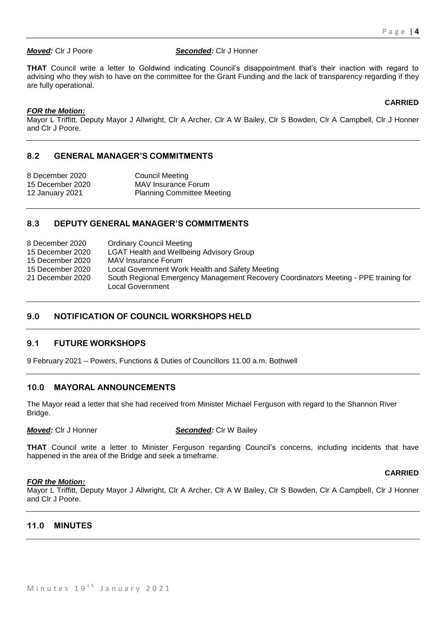#### *Moved:* Clr J Poore *Seconded:* Clr J Honner

**THAT** Council write a letter to Goldwind indicating Council's disappointment that's their inaction with regard to advising who they wish to have on the committee for the Grant Funding and the lack of transparency regarding if they are fully operational.

# *FOR the Motion:*

Mayor L Triffitt, Deputy Mayor J Allwright, Clr A Archer, Clr A W Bailey, Clr S Bowden, Clr A Campbell, Clr J Honner and Clr J Poore.

# **8.2 GENERAL MANAGER'S COMMITMENTS**

8 December 2020 Council Meeting 15 December 2020 MAV Insurance Forum 12 January 2021 Planning Committee Meeting

# **8.3 DEPUTY GENERAL MANAGER'S COMMITMENTS**

| 8 December 2020  | <b>Ordinary Council Meeting</b>                                                                          |
|------------------|----------------------------------------------------------------------------------------------------------|
| 15 December 2020 | <b>LGAT Health and Wellbeing Advisory Group</b>                                                          |
| 15 December 2020 | MAV Insurance Forum                                                                                      |
| 15 December 2020 | Local Government Work Health and Safety Meeting                                                          |
| 21 December 2020 | South Regional Emergency Management Recovery Coordinators Meeting - PPE training for<br>Local Government |

# **9.0 NOTIFICATION OF COUNCIL WORKSHOPS HELD**

# **9.1 FUTURE WORKSHOPS**

9 February 2021 – Powers, Functions & Duties of Councillors 11.00 a.m. Bothwell

# **10.0 MAYORAL ANNOUNCEMENTS**

The Mayor read a letter that she had received from Minister Michael Ferguson with regard to the Shannon River Bridge.

*Moved:* Clr J Honner *Seconded:* Clr W Bailey

**THAT** Council write a letter to Minister Ferguson regarding Council's concerns, including incidents that have happened in the area of the Bridge and seek a timeframe.

#### *FOR the Motion:*

# **CARRIED**

Mayor L Triffitt, Deputy Mayor J Allwright, Clr A Archer, Clr A W Bailey, Clr S Bowden, Clr A Campbell, Clr J Honner and Clr J Poore.

# **11.0 MINUTES**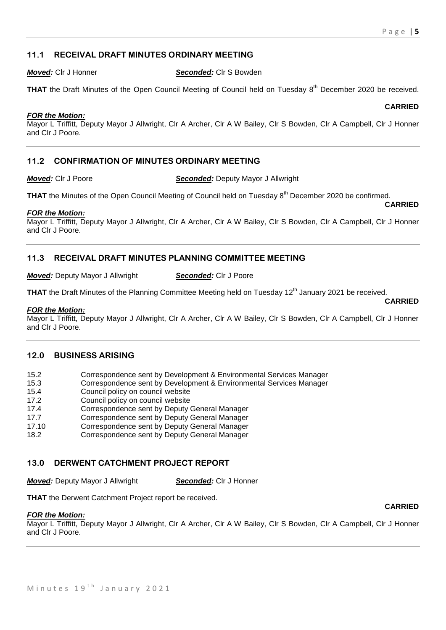# **11.1 RECEIVAL DRAFT MINUTES ORDINARY MEETING**

*Moved:* Clr J Honner *Seconded:* Clr S Bowden

THAT the Draft Minutes of the Open Council Meeting of Council held on Tuesday 8<sup>th</sup> December 2020 be received.

#### *FOR the Motion:*

Mayor L Triffitt, Deputy Mayor J Allwright, Clr A Archer, Clr A W Bailey, Clr S Bowden, Clr A Campbell, Clr J Honner and Clr J Poore.

# **11.2 CONFIRMATION OF MINUTES ORDINARY MEETING**

*Moved:* Clr J Poore *Seconded:* Deputy Mayor J Allwright

THAT the Minutes of the Open Council Meeting of Council held on Tuesday 8<sup>th</sup> December 2020 be confirmed. **CARRIED**

#### *FOR the Motion:*

Mayor L Triffitt, Deputy Mayor J Allwright, Clr A Archer, Clr A W Bailey, Clr S Bowden, Clr A Campbell, Clr J Honner and Clr J Poore.

# **11.3 RECEIVAL DRAFT MINUTES PLANNING COMMITTEE MEETING**

*Moved:* Deputy Mayor J Allwright *Seconded:* Clr J Poore

**THAT** the Draft Minutes of the Planning Committee Meeting held on Tuesday 12<sup>th</sup> January 2021 be received.

#### *FOR the Motion:*

Mayor L Triffitt, Deputy Mayor J Allwright, Clr A Archer, Clr A W Bailey, Clr S Bowden, Clr A Campbell, Clr J Honner and Clr J Poore.

# **12.0 BUSINESS ARISING**

| 15.2  | Correspondence sent by Development & Environmental Services Manager |
|-------|---------------------------------------------------------------------|
| 15.3  | Correspondence sent by Development & Environmental Services Manager |
| 15.4  | Council policy on council website                                   |
| 17.2  | Council policy on council website                                   |
| 17.4  | Correspondence sent by Deputy General Manager                       |
| 17.7  | Correspondence sent by Deputy General Manager                       |
| 17.10 | Correspondence sent by Deputy General Manager                       |
| 18.2  | Correspondence sent by Deputy General Manager                       |

# **13.0 DERWENT CATCHMENT PROJECT REPORT**

*Moved:* Deputy Mayor J Allwright *Seconded:* Clr J Honner

**THAT** the Derwent Catchment Project report be received.

#### *FOR the Motion:*

Mayor L Triffitt, Deputy Mayor J Allwright, Clr A Archer, Clr A W Bailey, Clr S Bowden, Clr A Campbell, Clr J Honner and Clr J Poore.

#### **CARRIED**

**CARRIED**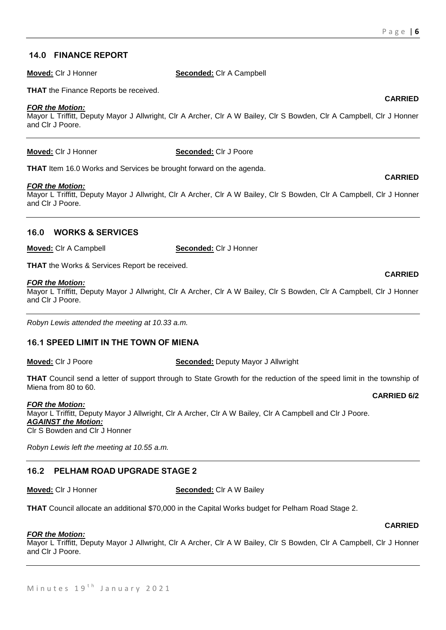# **14.0 FINANCE REPORT**

**Moved:** Clr J Honner **Seconded:** Clr A Campbell

**THAT** the Finance Reports be received.

#### *FOR the Motion:*

Mayor L Triffitt, Deputy Mayor J Allwright, Clr A Archer, Clr A W Bailey, Clr S Bowden, Clr A Campbell, Clr J Honner and Clr J Poore.

**Moved:** Clr J Honner **Seconded:** Clr J Poore

**THAT** Item 16.0 Works and Services be brought forward on the agenda.

#### *FOR the Motion:*

Mayor L Triffitt, Deputy Mayor J Allwright, Clr A Archer, Clr A W Bailey, Clr S Bowden, Clr A Campbell, Clr J Honner and Clr J Poore.

# **16.0 WORKS & SERVICES**

**Moved:** Clr A Campbell **Seconded:** Clr J Honner

**THAT** the Works & Services Report be received.

#### *FOR the Motion:*

Mayor L Triffitt, Deputy Mayor J Allwright, Clr A Archer, Clr A W Bailey, Clr S Bowden, Clr A Campbell, Clr J Honner and Clr J Poore.

*Robyn Lewis attended the meeting at 10.33 a.m.*

# **16.1 SPEED LIMIT IN THE TOWN OF MIENA**

**Moved:** Clr J Poore **Seconded:** Deputy Mayor J Allwright

**THAT** Council send a letter of support through to State Growth for the reduction of the speed limit in the township of Miena from 80 to 60.

#### *FOR the Motion:*

Mayor L Triffitt, Deputy Mayor J Allwright, Clr A Archer, Clr A W Bailey, Clr A Campbell and Clr J Poore. *AGAINST the Motion:* Clr S Bowden and Clr J Honner

*Robyn Lewis left the meeting at 10.55 a.m.*

# **16.2 PELHAM ROAD UPGRADE STAGE 2**

**Moved:** Cir J Honner **Seconded:** Cir A W Bailey

**THAT** Council allocate an additional \$70,000 in the Capital Works budget for Pelham Road Stage 2.

# *FOR the Motion:*

Mayor L Triffitt, Deputy Mayor J Allwright, Clr A Archer, Clr A W Bailey, Clr S Bowden, Clr A Campbell, Clr J Honner and Clr J Poore.

# **CARRIED**

**CARRIED**

#### **CARRIED**

#### **CARRIED 6/2**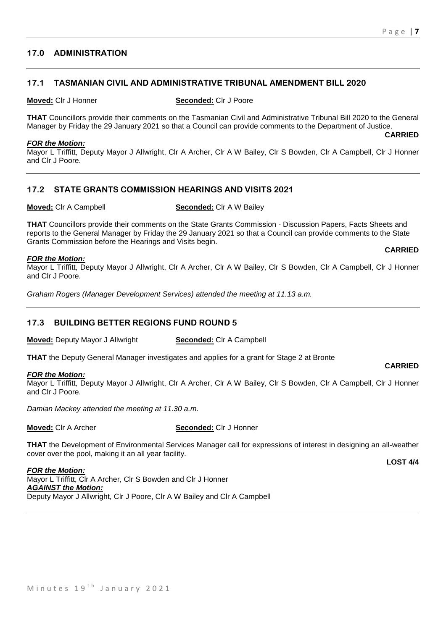# **17.0 ADMINISTRATION**

# **17.1 TASMANIAN CIVIL AND ADMINISTRATIVE TRIBUNAL AMENDMENT BILL 2020**

#### **Moved:** Clr J Honner **Seconded:** Clr J Poore

**THAT** Councillors provide their comments on the Tasmanian Civil and Administrative Tribunal Bill 2020 to the General Manager by Friday the 29 January 2021 so that a Council can provide comments to the Department of Justice.

#### *FOR the Motion:*

Mayor L Triffitt, Deputy Mayor J Allwright, Clr A Archer, Clr A W Bailey, Clr S Bowden, Clr A Campbell, Clr J Honner and Clr J Poore.

# **17.2 STATE GRANTS COMMISSION HEARINGS AND VISITS 2021**

**Moved:** Clr A Campbell **Seconded:** Clr A W Bailey

**THAT** Councillors provide their comments on the State Grants Commission - Discussion Papers, Facts Sheets and reports to the General Manager by Friday the 29 January 2021 so that a Council can provide comments to the State Grants Commission before the Hearings and Visits begin. **CARRIED**

#### *FOR the Motion:*

Mayor L Triffitt, Deputy Mayor J Allwright, Clr A Archer, Clr A W Bailey, Clr S Bowden, Clr A Campbell, Clr J Honner and Clr J Poore.

*Graham Rogers (Manager Development Services) attended the meeting at 11.13 a.m.*

# **17.3 BUILDING BETTER REGIONS FUND ROUND 5**

**Moved:** Deputy Mayor J Allwright **Seconded:** Clr A Campbell

**THAT** the Deputy General Manager investigates and applies for a grant for Stage 2 at Bronte

#### *FOR the Motion:*

Mayor L Triffitt, Deputy Mayor J Allwright, Clr A Archer, Clr A W Bailey, Clr S Bowden, Clr A Campbell, Clr J Honner and Clr J Poore.

*Damian Mackey attended the meeting at 11.30 a.m.*

**Moved:** Clr A Archer **Seconded:** Clr J Honner

**THAT** the Development of Environmental Services Manager call for expressions of interest in designing an all-weather cover over the pool, making it an all year facility.

**LOST 4/4**

**CARRIED**

*FOR the Motion:* Mayor L Triffitt, Clr A Archer, Clr S Bowden and Clr J Honner *AGAINST the Motion:* Deputy Mayor J Allwright, Clr J Poore, Clr A W Bailey and Clr A Campbell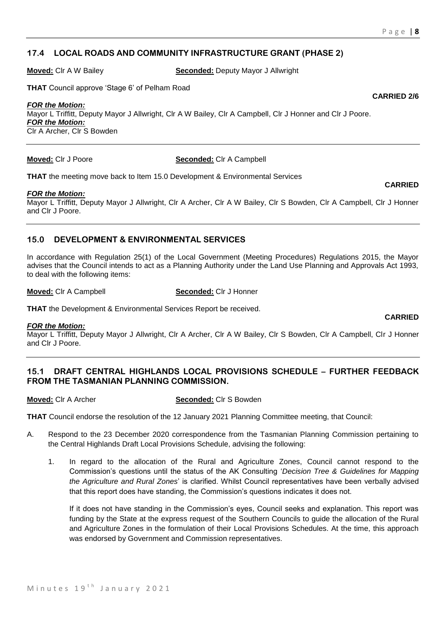# **17.4 LOCAL ROADS AND COMMUNITY INFRASTRUCTURE GRANT (PHASE 2)**

**Moved:** Clr A W Bailey **Seconded:** Deputy Mayor J Allwright

**THAT** Council approve 'Stage 6' of Pelham Road

# *FOR the Motion:*

Mayor L Triffitt, Deputy Mayor J Allwright, Clr A W Bailey, Clr A Campbell, Clr J Honner and Clr J Poore. *FOR the Motion:* Clr A Archer, Clr S Bowden

**Moved:** Clr J Poore **Seconded:** Clr A Campbell

**THAT** the meeting move back to Item 15.0 Development & Environmental Services

#### *FOR the Motion:*

Mayor L Triffitt, Deputy Mayor J Allwright, Clr A Archer, Clr A W Bailey, Clr S Bowden, Clr A Campbell, Clr J Honner and Clr J Poore.

# **15.0 DEVELOPMENT & ENVIRONMENTAL SERVICES**

In accordance with Regulation 25(1) of the Local Government (Meeting Procedures) Regulations 2015, the Mayor advises that the Council intends to act as a Planning Authority under the Land Use Planning and Approvals Act 1993, to deal with the following items:

**Moved:** Clr A Campbell **Seconded:** Clr J Honner

**THAT** the Development & Environmental Services Report be received.

#### *FOR the Motion:*

Mayor L Triffitt, Deputy Mayor J Allwright, Clr A Archer, Clr A W Bailey, Clr S Bowden, Clr A Campbell, Clr J Honner and Clr J Poore.

# **15.1 DRAFT CENTRAL HIGHLANDS LOCAL PROVISIONS SCHEDULE – FURTHER FEEDBACK FROM THE TASMANIAN PLANNING COMMISSION.**

**Moved:** Clr A Archer **Seconded:** Clr S Bowden

**THAT** Council endorse the resolution of the 12 January 2021 Planning Committee meeting, that Council:

- A. Respond to the 23 December 2020 correspondence from the Tasmanian Planning Commission pertaining to the Central Highlands Draft Local Provisions Schedule, advising the following:
	- 1. In regard to the allocation of the Rural and Agriculture Zones, Council cannot respond to the Commission's questions until the status of the AK Consulting '*Decision Tree & Guidelines for Mapping the Agriculture and Rural Zones*' is clarified. Whilst Council representatives have been verbally advised that this report does have standing, the Commission's questions indicates it does not.

If it does not have standing in the Commission's eyes, Council seeks and explanation. This report was funding by the State at the express request of the Southern Councils to guide the allocation of the Rural and Agriculture Zones in the formulation of their Local Provisions Schedules. At the time, this approach was endorsed by Government and Commission representatives.

**CARRIED**

**CARRIED**

**CARRIED 2/6**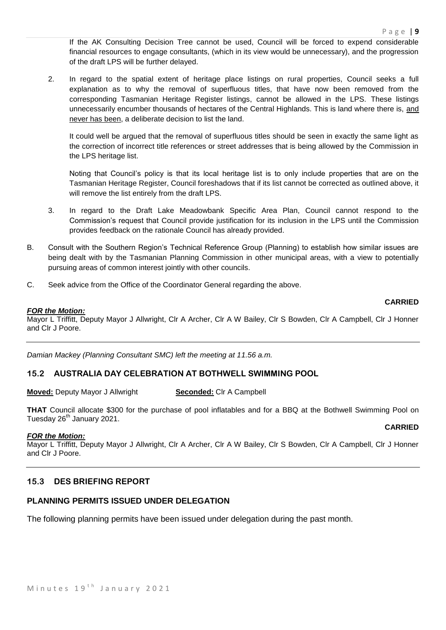If the AK Consulting Decision Tree cannot be used, Council will be forced to expend considerable financial resources to engage consultants, (which in its view would be unnecessary), and the progression of the draft LPS will be further delayed.

2. In regard to the spatial extent of heritage place listings on rural properties, Council seeks a full explanation as to why the removal of superfluous titles, that have now been removed from the corresponding Tasmanian Heritage Register listings, cannot be allowed in the LPS. These listings unnecessarily encumber thousands of hectares of the Central Highlands. This is land where there is, and never has been, a deliberate decision to list the land.

It could well be argued that the removal of superfluous titles should be seen in exactly the same light as the correction of incorrect title references or street addresses that is being allowed by the Commission in the LPS heritage list.

Noting that Council's policy is that its local heritage list is to only include properties that are on the Tasmanian Heritage Register, Council foreshadows that if its list cannot be corrected as outlined above, it will remove the list entirely from the draft LPS.

- 3. In regard to the Draft Lake Meadowbank Specific Area Plan, Council cannot respond to the Commission's request that Council provide justification for its inclusion in the LPS until the Commission provides feedback on the rationale Council has already provided.
- B. Consult with the Southern Region's Technical Reference Group (Planning) to establish how similar issues are being dealt with by the Tasmanian Planning Commission in other municipal areas, with a view to potentially pursuing areas of common interest jointly with other councils.
- C. Seek advice from the Office of the Coordinator General regarding the above.

#### **CARRIED**

# *FOR the Motion:*

Mayor L Triffitt, Deputy Mayor J Allwright, Clr A Archer, Clr A W Bailey, Clr S Bowden, Clr A Campbell, Clr J Honner and Clr J Poore.

*Damian Mackey (Planning Consultant SMC) left the meeting at 11.56 a.m.*

# **15.2 AUSTRALIA DAY CELEBRATION AT BOTHWELL SWIMMING POOL**

**Moved:** Deputy Mayor J Allwright **Seconded:** Clr A Campbell

**THAT** Council allocate \$300 for the purchase of pool inflatables and for a BBQ at the Bothwell Swimming Pool on Tuesday 26<sup>th</sup> January 2021.

#### **CARRIED**

#### *FOR the Motion:*

Mayor L Triffitt, Deputy Mayor J Allwright, Clr A Archer, Clr A W Bailey, Clr S Bowden, Clr A Campbell, Clr J Honner and Clr J Poore.

# **15.3 DES BRIEFING REPORT**

# **PLANNING PERMITS ISSUED UNDER DELEGATION**

The following planning permits have been issued under delegation during the past month.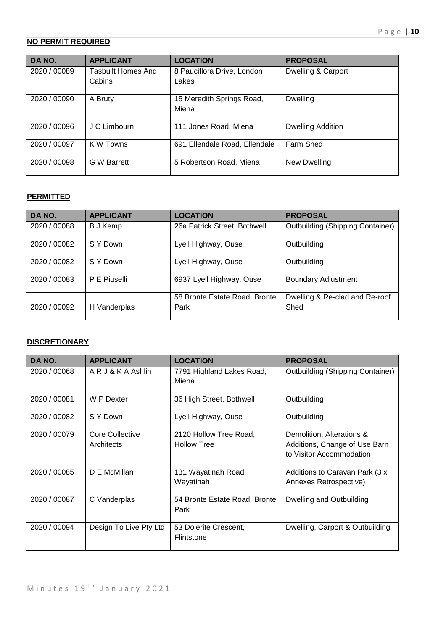# **NO PERMIT REQUIRED**

| DA NO.       | <b>APPLICANT</b>          | <b>LOCATION</b>               | <b>PROPOSAL</b>          |
|--------------|---------------------------|-------------------------------|--------------------------|
| 2020 / 00089 | <b>Tasbuilt Homes And</b> | 8 Pauciflora Drive, London    | Dwelling & Carport       |
|              | Cabins                    | Lakes                         |                          |
| 2020 / 00090 | A Bruty                   | 15 Meredith Springs Road,     | <b>Dwelling</b>          |
|              |                           | Miena                         |                          |
| 2020 / 00096 | J C Limbourn              | 111 Jones Road, Miena         | <b>Dwelling Addition</b> |
| 2020 / 00097 | K W Towns                 | 691 Ellendale Road, Ellendale | Farm Shed                |
| 2020 / 00098 | <b>G W Barrett</b>        | 5 Robertson Road, Miena       | New Dwelling             |

# **PERMITTED**

| DA NO.       | <b>APPLICANT</b> | <b>LOCATION</b>                       | <b>PROPOSAL</b>                         |
|--------------|------------------|---------------------------------------|-----------------------------------------|
| 2020 / 00088 | B J Kemp         | 26a Patrick Street, Bothwell          | <b>Outbuilding (Shipping Container)</b> |
| 2020 / 00082 | S Y Down         | Lyell Highway, Ouse                   | Outbuilding                             |
| 2020 / 00082 | S Y Down         | Lyell Highway, Ouse                   | Outbuilding                             |
| 2020 / 00083 | P E Piuselli     | 6937 Lyell Highway, Ouse              | <b>Boundary Adjustment</b>              |
| 2020 / 00092 | H Vanderplas     | 58 Bronte Estate Road, Bronte<br>Park | Dwelling & Re-clad and Re-roof<br>Shed  |

# **DISCRETIONARY**

| DA NO.       | <b>APPLICANT</b>              | <b>LOCATION</b>                              | <b>PROPOSAL</b>                                                                        |
|--------------|-------------------------------|----------------------------------------------|----------------------------------------------------------------------------------------|
| 2020 / 00068 | ARJ&KAAshlin                  | 7791 Highland Lakes Road,<br>Miena           | <b>Outbuilding (Shipping Container)</b>                                                |
| 2020 / 00081 | W P Dexter                    | 36 High Street, Bothwell                     | Outbuilding                                                                            |
| 2020 / 00082 | S Y Down                      | Lyell Highway, Ouse                          | Outbuilding                                                                            |
| 2020 / 00079 | Core Collective<br>Architects | 2120 Hollow Tree Road,<br><b>Hollow Tree</b> | Demolition, Alterations &<br>Additions, Change of Use Barn<br>to Visitor Accommodation |
| 2020 / 00085 | D E McMillan                  | 131 Wayatinah Road,<br>Wayatinah             | Additions to Caravan Park (3 x<br>Annexes Retrospective)                               |
| 2020 / 00087 | C Vanderplas                  | 54 Bronte Estate Road, Bronte<br>Park        | Dwelling and Outbuilding                                                               |
| 2020 / 00094 | Design To Live Pty Ltd        | 53 Dolerite Crescent,<br>Flintstone          | Dwelling, Carport & Outbuilding                                                        |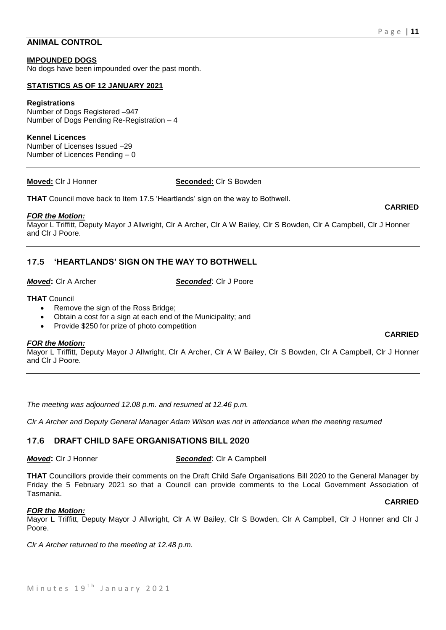### **ANIMAL CONTROL**

#### **IMPOUNDED DOGS**

No dogs have been impounded over the past month.

#### **STATISTICS AS OF 12 JANUARY 2021**

#### **Registrations**

Number of Dogs Registered –947 Number of Dogs Pending Re-Registration – 4

#### **Kennel Licences**

Number of Licenses Issued –29 Number of Licences Pending – 0

#### **Moved:** Clr J Honner **Seconded:** Clr S Bowden

**THAT** Council move back to Item 17.5 'Heartlands' sign on the way to Bothwell.

#### *FOR the Motion:*

Mayor L Triffitt, Deputy Mayor J Allwright, Clr A Archer, Clr A W Bailey, Clr S Bowden, Clr A Campbell, Clr J Honner and Clr J Poore.

# **17.5 'HEARTLANDS' SIGN ON THE WAY TO BOTHWELL**

*Moved***:** Clr A Archer *Seconded*: Clr J Poore

#### **THAT** Council

- Remove the sign of the Ross Bridge;
- Obtain a cost for a sign at each end of the Municipality; and
- Provide \$250 for prize of photo competition

#### *FOR the Motion:*

Mayor L Triffitt, Deputy Mayor J Allwright, Clr A Archer, Clr A W Bailey, Clr S Bowden, Clr A Campbell, Clr J Honner and Clr J Poore.

*The meeting was adjourned 12.08 p.m. and resumed at 12.46 p.m.*

*Clr A Archer and Deputy General Manager Adam Wilson was not in attendance when the meeting resumed* 

# **17.6 DRAFT CHILD SAFE ORGANISATIONS BILL 2020**

#### *Moved***:** Clr J Honner *Seconded*: Clr A Campbell

**THAT** Councillors provide their comments on the Draft Child Safe Organisations Bill 2020 to the General Manager by Friday the 5 February 2021 so that a Council can provide comments to the Local Government Association of Tasmania.

#### *FOR the Motion:*

Mayor L Triffitt, Deputy Mayor J Allwright, Clr A W Bailey, Clr S Bowden, Clr A Campbell, Clr J Honner and Clr J Poore.

*Clr A Archer returned to the meeting at 12.48 p.m.*

# **CARRIED**

### **CARRIED**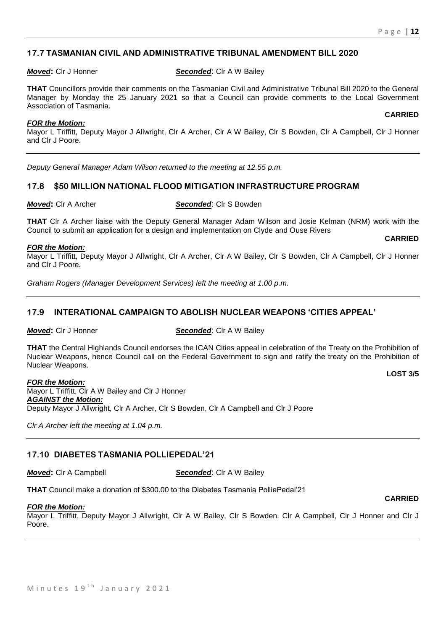# **17.7 TASMANIAN CIVIL AND ADMINISTRATIVE TRIBUNAL AMENDMENT BILL 2020**

#### *Moved***: Cir J Honner <b>Seconded**: Cir A W Bailey

**THAT** Councillors provide their comments on the Tasmanian Civil and Administrative Tribunal Bill 2020 to the General Manager by Monday the 25 January 2021 so that a Council can provide comments to the Local Government Association of Tasmania.

#### *FOR the Motion:*

Mayor L Triffitt, Deputy Mayor J Allwright, Clr A Archer, Clr A W Bailey, Clr S Bowden, Clr A Campbell, Clr J Honner and Clr J Poore.

*Deputy General Manager Adam Wilson returned to the meeting at 12.55 p.m.*

# **17.8 \$50 MILLION NATIONAL FLOOD MITIGATION INFRASTRUCTURE PROGRAM**

*Moved***:** Clr A Archer *Seconded*: Clr S Bowden

**THAT** Clr A Archer liaise with the Deputy General Manager Adam Wilson and Josie Kelman (NRM) work with the Council to submit an application for a design and implementation on Clyde and Ouse Rivers

### *FOR the Motion:*

Mayor L Triffitt, Deputy Mayor J Allwright, Clr A Archer, Clr A W Bailey, Clr S Bowden, Clr A Campbell, Clr J Honner and Clr J Poore.

*Graham Rogers (Manager Development Services) left the meeting at 1.00 p.m.*

# **17.9 INTERATIONAL CAMPAIGN TO ABOLISH NUCLEAR WEAPONS 'CITIES APPEAL'**

*Moved***: Cir J Honner <b>Seconded**: Cir A W Bailey

**THAT** the Central Highlands Council endorses the ICAN Cities appeal in celebration of the Treaty on the Prohibition of Nuclear Weapons, hence Council call on the Federal Government to sign and ratify the treaty on the Prohibition of Nuclear Weapons.

**LOST 3/5**

**CARRIED**

*FOR the Motion:* Mayor L Triffitt, Clr A W Bailey and Clr J Honner *AGAINST the Motion:* Deputy Mayor J Allwright, Clr A Archer, Clr S Bowden, Clr A Campbell and Clr J Poore

*Clr A Archer left the meeting at 1.04 p.m.*

# **17.10 DIABETES TASMANIA POLLIEPEDAL'21**

*Moved***:** Clr A Campbell *Seconded*: Clr A W Bailey

**THAT** Council make a donation of \$300.00 to the Diabetes Tasmania PolliePedal'21

#### *FOR the Motion:*

Mayor L Triffitt, Deputy Mayor J Allwright, Clr A W Bailey, Clr S Bowden, Clr A Campbell, Clr J Honner and Clr J Poore.